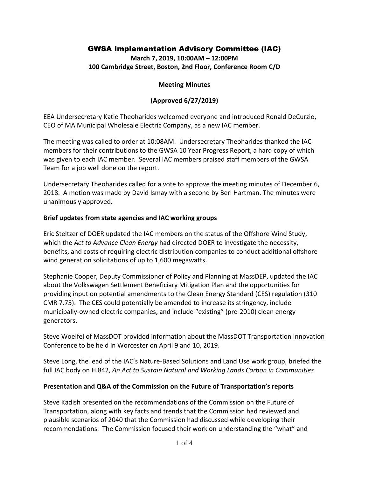# GWSA Implementation Advisory Committee (IAC)

**March 7, 2019, 10:00AM – 12:00PM 100 Cambridge Street, Boston, 2nd Floor, Conference Room C/D**

### **Meeting Minutes**

## **(Approved 6/27/2019)**

EEA Undersecretary Katie Theoharides welcomed everyone and introduced Ronald DeCurzio, CEO of MA Municipal Wholesale Electric Company, as a new IAC member.

The meeting was called to order at 10:08AM. Undersecretary Theoharides thanked the IAC members for their contributions to the GWSA 10 Year Progress Report, a hard copy of which was given to each IAC member. Several IAC members praised staff members of the GWSA Team for a job well done on the report.

Undersecretary Theoharides called for a vote to approve the meeting minutes of December 6, 2018. A motion was made by David Ismay with a second by Berl Hartman. The minutes were unanimously approved.

### **Brief updates from state agencies and IAC working groups**

Eric Steltzer of DOER updated the IAC members on the status of the Offshore Wind Study, which the *Act to Advance Clean Energy* had directed DOER to investigate the necessity, benefits, and costs of requiring electric distribution companies to conduct additional offshore wind generation solicitations of up to 1,600 megawatts.

Stephanie Cooper, Deputy Commissioner of Policy and Planning at MassDEP, updated the IAC about the Volkswagen Settlement Beneficiary Mitigation Plan and the opportunities for providing input on potential amendments to the Clean Energy Standard (CES) regulation (310 CMR 7.75). The CES could potentially be amended to increase its stringency, include municipally-owned electric companies, and include "existing" (pre-2010) clean energy generators.

Steve Woelfel of MassDOT provided information about the MassDOT Transportation Innovation Conference to be held in Worcester on April 9 and 10, 2019.

Steve Long, the lead of the IAC's Nature-Based Solutions and Land Use work group, briefed the full IAC body on H.842, *An Act to Sustain Natural and Working Lands Carbon in Communities*.

### **Presentation and Q&A of the Commission on the Future of Transportation's reports**

Steve Kadish presented on the recommendations of the Commission on the Future of Transportation, along with key facts and trends that the Commission had reviewed and plausible scenarios of 2040 that the Commission had discussed while developing their recommendations. The Commission focused their work on understanding the "what" and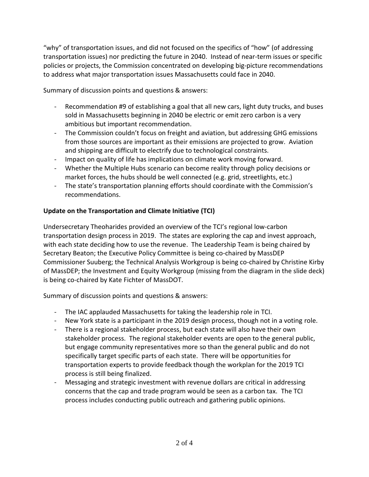"why" of transportation issues, and did not focused on the specifics of "how" (of addressing transportation issues) nor predicting the future in 2040. Instead of near-term issues or specific policies or projects, the Commission concentrated on developing big-picture recommendations to address what major transportation issues Massachusetts could face in 2040.

Summary of discussion points and questions & answers:

- Recommendation #9 of establishing a goal that all new cars, light duty trucks, and buses sold in Massachusetts beginning in 2040 be electric or emit zero carbon is a very ambitious but important recommendation.
- The Commission couldn't focus on freight and aviation, but addressing GHG emissions from those sources are important as their emissions are projected to grow. Aviation and shipping are difficult to electrify due to technological constraints.
- Impact on quality of life has implications on climate work moving forward.
- Whether the Multiple Hubs scenario can become reality through policy decisions or market forces, the hubs should be well connected (e.g. grid, streetlights, etc.)
- The state's transportation planning efforts should coordinate with the Commission's recommendations.

# **Update on the Transportation and Climate Initiative (TCI)**

Undersecretary Theoharides provided an overview of the TCI's regional low-carbon transportation design process in 2019. The states are exploring the cap and invest approach, with each state deciding how to use the revenue. The Leadership Team is being chaired by Secretary Beaton; the Executive Policy Committee is being co-chaired by MassDEP Commissioner Suuberg; the Technical Analysis Workgroup is being co-chaired by Christine Kirby of MassDEP; the Investment and Equity Workgroup (missing from the diagram in the slide deck) is being co-chaired by Kate Fichter of MassDOT.

Summary of discussion points and questions & answers:

- The IAC applauded Massachusetts for taking the leadership role in TCI.
- New York state is a participant in the 2019 design process, though not in a voting role.
- There is a regional stakeholder process, but each state will also have their own stakeholder process. The regional stakeholder events are open to the general public, but engage community representatives more so than the general public and do not specifically target specific parts of each state. There will be opportunities for transportation experts to provide feedback though the workplan for the 2019 TCI process is still being finalized.
- Messaging and strategic investment with revenue dollars are critical in addressing concerns that the cap and trade program would be seen as a carbon tax. The TCI process includes conducting public outreach and gathering public opinions.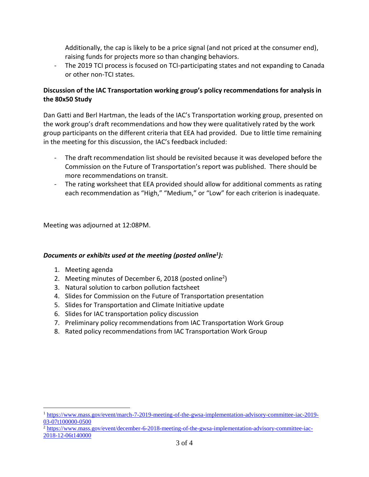Additionally, the cap is likely to be a price signal (and not priced at the consumer end), raising funds for projects more so than changing behaviors.

- The 2019 TCI process is focused on TCI-participating states and not expanding to Canada or other non-TCI states.

## **Discussion of the IAC Transportation working group's policy recommendations for analysis in the 80x50 Study**

Dan Gatti and Berl Hartman, the leads of the IAC's Transportation working group, presented on the work group's draft recommendations and how they were qualitatively rated by the work group participants on the different criteria that EEA had provided. Due to little time remaining in the meeting for this discussion, the IAC's feedback included:

- The draft recommendation list should be revisited because it was developed before the Commission on the Future of Transportation's report was published. There should be more recommendations on transit.
- The rating worksheet that EEA provided should allow for additional comments as rating each recommendation as "High," "Medium," or "Low" for each criterion is inadequate.

Meeting was adjourned at 12:08PM.

## *Documents or exhibits used at the meeting (posted online<sup>1</sup> ):*

1. Meeting agenda

 $\overline{a}$ 

- 2. Meeting minutes of December 6, 2018 (posted online<sup>2</sup>)
- 3. Natural solution to carbon pollution factsheet
- 4. Slides for Commission on the Future of Transportation presentation
- 5. Slides for Transportation and Climate Initiative update
- 6. Slides for IAC transportation policy discussion
- 7. Preliminary policy recommendations from IAC Transportation Work Group
- 8. Rated policy recommendations from IAC Transportation Work Group

<sup>1</sup> [https://www.mass.gov/event/march-7-2019-meeting-of-the-gwsa-implementation-advisory-committee-iac-2019-](https://www.mass.gov/event/march-7-2019-meeting-of-the-gwsa-implementation-advisory-committee-iac-2019-03-07t100000-0500) [03-07t100000-0500](https://www.mass.gov/event/march-7-2019-meeting-of-the-gwsa-implementation-advisory-committee-iac-2019-03-07t100000-0500)

<sup>&</sup>lt;sup>2</sup> [https://www.mass.gov/event/december-6-2018-meeting-of-the-gwsa-implementation-advisory-committee-iac-](https://www.mass.gov/event/december-6-2018-meeting-of-the-gwsa-implementation-advisory-committee-iac-2018-12-06t140000)[2018-12-06t140000](https://www.mass.gov/event/december-6-2018-meeting-of-the-gwsa-implementation-advisory-committee-iac-2018-12-06t140000)